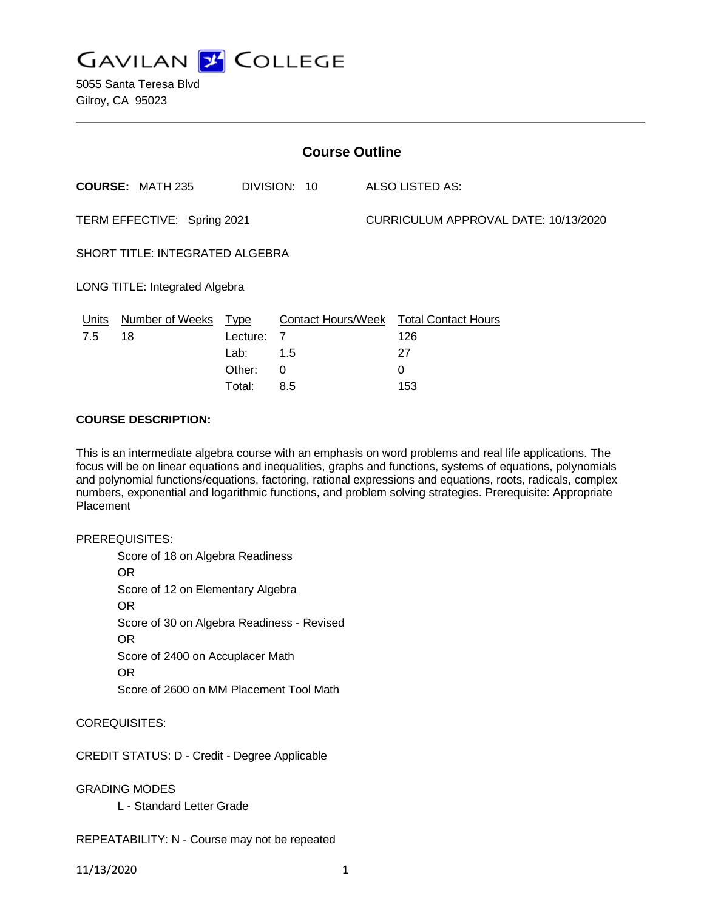

5055 Santa Teresa Blvd Gilroy, CA 95023

| <b>Course Outline</b>                  |                         |             |                           |                                      |                            |
|----------------------------------------|-------------------------|-------------|---------------------------|--------------------------------------|----------------------------|
|                                        | <b>COURSE: MATH 235</b> |             | DIVISION: 10              |                                      | <b>ALSO LISTED AS:</b>     |
| TERM EFFECTIVE: Spring 2021            |                         |             |                           | CURRICULUM APPROVAL DATE: 10/13/2020 |                            |
| <b>SHORT TITLE: INTEGRATED ALGEBRA</b> |                         |             |                           |                                      |                            |
| LONG TITLE: Integrated Algebra         |                         |             |                           |                                      |                            |
| <b>Units</b>                           | <b>Number of Weeks</b>  | <u>Type</u> | <b>Contact Hours/Week</b> |                                      | <b>Total Contact Hours</b> |
| 7.5                                    | 18                      | Lecture:    | 7                         |                                      | 126                        |
|                                        |                         | Lab:        | 1.5                       |                                      | 27                         |
|                                        |                         | Other:      | $\mathbf{0}$              |                                      | 0                          |
|                                        |                         | Total:      | 8.5                       |                                      | 153                        |

#### **COURSE DESCRIPTION:**

This is an intermediate algebra course with an emphasis on word problems and real life applications. The focus will be on linear equations and inequalities, graphs and functions, systems of equations, polynomials and polynomial functions/equations, factoring, rational expressions and equations, roots, radicals, complex numbers, exponential and logarithmic functions, and problem solving strategies. Prerequisite: Appropriate **Placement** 

#### PREREQUISITES:

Score of 18 on Algebra Readiness OR Score of 12 on Elementary Algebra OR Score of 30 on Algebra Readiness - Revised OR Score of 2400 on Accuplacer Math OR Score of 2600 on MM Placement Tool Math

## COREQUISITES:

CREDIT STATUS: D - Credit - Degree Applicable

GRADING MODES

L - Standard Letter Grade

REPEATABILITY: N - Course may not be repeated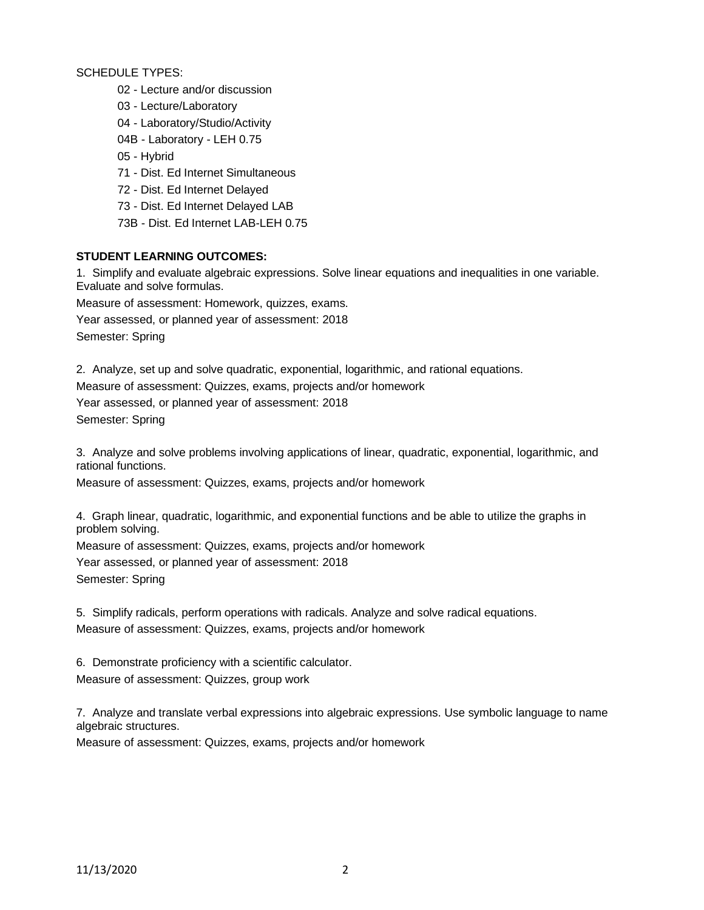SCHEDULE TYPES:

- 02 Lecture and/or discussion
- 03 Lecture/Laboratory
- 04 Laboratory/Studio/Activity
- 04B Laboratory LEH 0.75
- 05 Hybrid
- 71 Dist. Ed Internet Simultaneous
- 72 Dist. Ed Internet Delayed
- 73 Dist. Ed Internet Delayed LAB
- 73B Dist. Ed Internet LAB-LEH 0.75

## **STUDENT LEARNING OUTCOMES:**

1. Simplify and evaluate algebraic expressions. Solve linear equations and inequalities in one variable. Evaluate and solve formulas.

Measure of assessment: Homework, quizzes, exams. Year assessed, or planned year of assessment: 2018

Semester: Spring

2. Analyze, set up and solve quadratic, exponential, logarithmic, and rational equations.

Measure of assessment: Quizzes, exams, projects and/or homework Year assessed, or planned year of assessment: 2018

Semester: Spring

3. Analyze and solve problems involving applications of linear, quadratic, exponential, logarithmic, and rational functions.

Measure of assessment: Quizzes, exams, projects and/or homework

4. Graph linear, quadratic, logarithmic, and exponential functions and be able to utilize the graphs in problem solving.

Measure of assessment: Quizzes, exams, projects and/or homework Year assessed, or planned year of assessment: 2018 Semester: Spring

5. Simplify radicals, perform operations with radicals. Analyze and solve radical equations. Measure of assessment: Quizzes, exams, projects and/or homework

6. Demonstrate proficiency with a scientific calculator. Measure of assessment: Quizzes, group work

7. Analyze and translate verbal expressions into algebraic expressions. Use symbolic language to name algebraic structures.

Measure of assessment: Quizzes, exams, projects and/or homework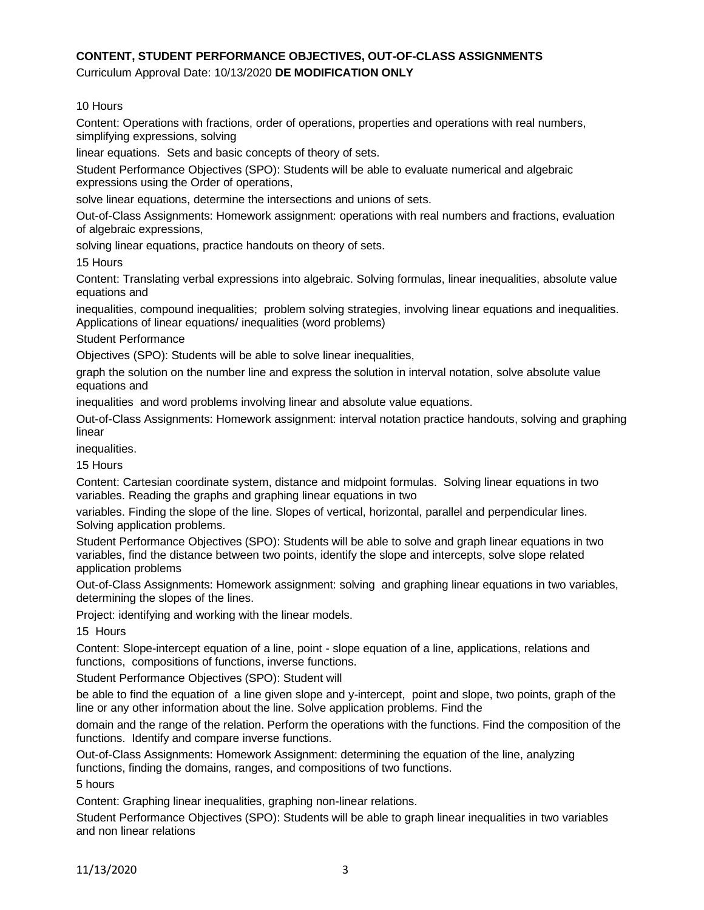# **CONTENT, STUDENT PERFORMANCE OBJECTIVES, OUT-OF-CLASS ASSIGNMENTS**

Curriculum Approval Date: 10/13/2020 **DE MODIFICATION ONLY**

## 10 Hours

Content: Operations with fractions, order of operations, properties and operations with real numbers, simplifying expressions, solving

linear equations. Sets and basic concepts of theory of sets.

Student Performance Objectives (SPO): Students will be able to evaluate numerical and algebraic expressions using the Order of operations,

solve linear equations, determine the intersections and unions of sets.

Out-of-Class Assignments: Homework assignment: operations with real numbers and fractions, evaluation of algebraic expressions,

solving linear equations, practice handouts on theory of sets.

15 Hours

Content: Translating verbal expressions into algebraic. Solving formulas, linear inequalities, absolute value equations and

inequalities, compound inequalities; problem solving strategies, involving linear equations and inequalities. Applications of linear equations/ inequalities (word problems)

#### Student Performance

Objectives (SPO): Students will be able to solve linear inequalities,

graph the solution on the number line and express the solution in interval notation, solve absolute value equations and

inequalities and word problems involving linear and absolute value equations.

Out-of-Class Assignments: Homework assignment: interval notation practice handouts, solving and graphing linear

inequalities.

15 Hours

Content: Cartesian coordinate system, distance and midpoint formulas. Solving linear equations in two variables. Reading the graphs and graphing linear equations in two

variables. Finding the slope of the line. Slopes of vertical, horizontal, parallel and perpendicular lines. Solving application problems.

Student Performance Objectives (SPO): Students will be able to solve and graph linear equations in two variables, find the distance between two points, identify the slope and intercepts, solve slope related application problems

Out-of-Class Assignments: Homework assignment: solving and graphing linear equations in two variables, determining the slopes of the lines.

Project: identifying and working with the linear models.

15 Hours

Content: Slope-intercept equation of a line, point - slope equation of a line, applications, relations and functions, compositions of functions, inverse functions.

Student Performance Objectives (SPO): Student will

be able to find the equation of a line given slope and y-intercept, point and slope, two points, graph of the line or any other information about the line. Solve application problems. Find the

domain and the range of the relation. Perform the operations with the functions. Find the composition of the functions. Identify and compare inverse functions.

Out-of-Class Assignments: Homework Assignment: determining the equation of the line, analyzing functions, finding the domains, ranges, and compositions of two functions.

5 hours

Content: Graphing linear inequalities, graphing non-linear relations.

Student Performance Objectives (SPO): Students will be able to graph linear inequalities in two variables and non linear relations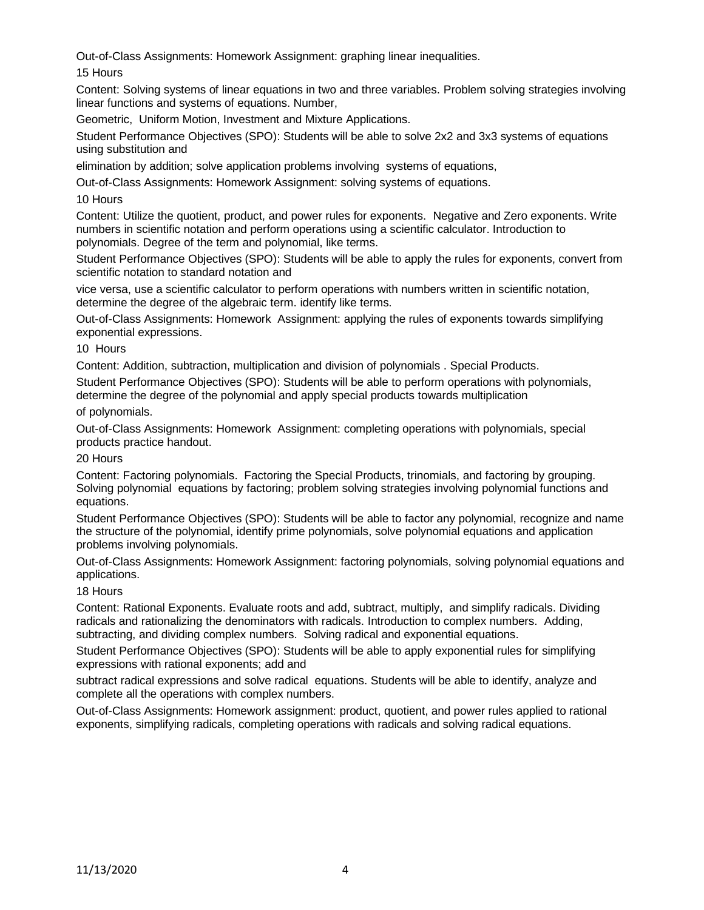Out-of-Class Assignments: Homework Assignment: graphing linear inequalities.

15 Hours

Content: Solving systems of linear equations in two and three variables. Problem solving strategies involving linear functions and systems of equations. Number,

Geometric, Uniform Motion, Investment and Mixture Applications.

Student Performance Objectives (SPO): Students will be able to solve 2x2 and 3x3 systems of equations using substitution and

elimination by addition; solve application problems involving systems of equations,

Out-of-Class Assignments: Homework Assignment: solving systems of equations.

10 Hours

Content: Utilize the quotient, product, and power rules for exponents. Negative and Zero exponents. Write numbers in scientific notation and perform operations using a scientific calculator. Introduction to polynomials. Degree of the term and polynomial, like terms.

Student Performance Objectives (SPO): Students will be able to apply the rules for exponents, convert from scientific notation to standard notation and

vice versa, use a scientific calculator to perform operations with numbers written in scientific notation, determine the degree of the algebraic term. identify like terms.

Out-of-Class Assignments: Homework Assignment: applying the rules of exponents towards simplifying exponential expressions.

10 Hours

Content: Addition, subtraction, multiplication and division of polynomials . Special Products.

Student Performance Objectives (SPO): Students will be able to perform operations with polynomials, determine the degree of the polynomial and apply special products towards multiplication

of polynomials.

Out-of-Class Assignments: Homework Assignment: completing operations with polynomials, special products practice handout.

20 Hours

Content: Factoring polynomials. Factoring the Special Products, trinomials, and factoring by grouping. Solving polynomial equations by factoring; problem solving strategies involving polynomial functions and equations.

Student Performance Objectives (SPO): Students will be able to factor any polynomial, recognize and name the structure of the polynomial, identify prime polynomials, solve polynomial equations and application problems involving polynomials.

Out-of-Class Assignments: Homework Assignment: factoring polynomials, solving polynomial equations and applications.

18 Hours

Content: Rational Exponents. Evaluate roots and add, subtract, multiply, and simplify radicals. Dividing radicals and rationalizing the denominators with radicals. Introduction to complex numbers. Adding, subtracting, and dividing complex numbers. Solving radical and exponential equations.

Student Performance Objectives (SPO): Students will be able to apply exponential rules for simplifying expressions with rational exponents; add and

subtract radical expressions and solve radical equations. Students will be able to identify, analyze and complete all the operations with complex numbers.

Out-of-Class Assignments: Homework assignment: product, quotient, and power rules applied to rational exponents, simplifying radicals, completing operations with radicals and solving radical equations.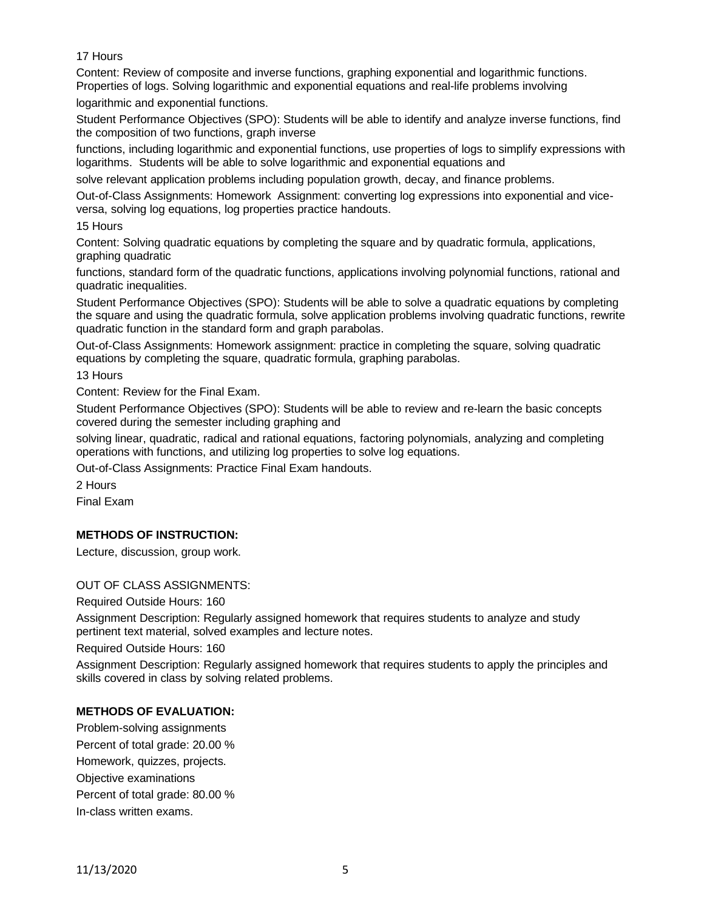## 17 Hours

Content: Review of composite and inverse functions, graphing exponential and logarithmic functions. Properties of logs. Solving logarithmic and exponential equations and real-life problems involving logarithmic and exponential functions.

Student Performance Objectives (SPO): Students will be able to identify and analyze inverse functions, find the composition of two functions, graph inverse

functions, including logarithmic and exponential functions, use properties of logs to simplify expressions with logarithms. Students will be able to solve logarithmic and exponential equations and

solve relevant application problems including population growth, decay, and finance problems.

Out-of-Class Assignments: Homework Assignment: converting log expressions into exponential and viceversa, solving log equations, log properties practice handouts.

15 Hours

Content: Solving quadratic equations by completing the square and by quadratic formula, applications, graphing quadratic

functions, standard form of the quadratic functions, applications involving polynomial functions, rational and quadratic inequalities.

Student Performance Objectives (SPO): Students will be able to solve a quadratic equations by completing the square and using the quadratic formula, solve application problems involving quadratic functions, rewrite quadratic function in the standard form and graph parabolas.

Out-of-Class Assignments: Homework assignment: practice in completing the square, solving quadratic equations by completing the square, quadratic formula, graphing parabolas.

13 Hours

Content: Review for the Final Exam.

Student Performance Objectives (SPO): Students will be able to review and re-learn the basic concepts covered during the semester including graphing and

solving linear, quadratic, radical and rational equations, factoring polynomials, analyzing and completing operations with functions, and utilizing log properties to solve log equations.

Out-of-Class Assignments: Practice Final Exam handouts.

2 Hours

Final Exam

## **METHODS OF INSTRUCTION:**

Lecture, discussion, group work.

## OUT OF CLASS ASSIGNMENTS:

Required Outside Hours: 160

Assignment Description: Regularly assigned homework that requires students to analyze and study pertinent text material, solved examples and lecture notes.

Required Outside Hours: 160

Assignment Description: Regularly assigned homework that requires students to apply the principles and skills covered in class by solving related problems.

## **METHODS OF EVALUATION:**

Problem-solving assignments Percent of total grade: 20.00 % Homework, quizzes, projects. Objective examinations Percent of total grade: 80.00 % In-class written exams.